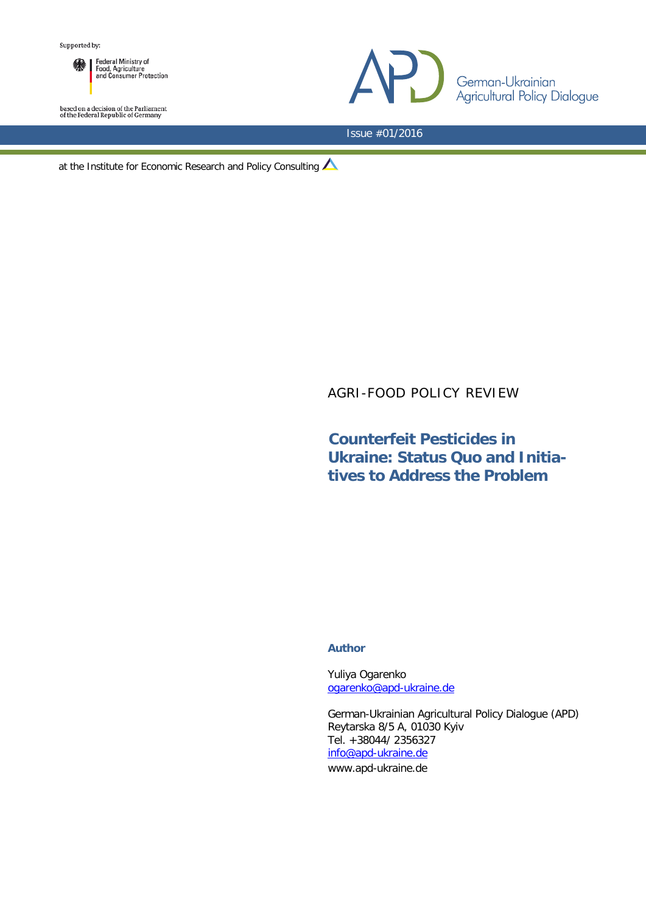

based on a decision of the Parliament<br>of the Federal Republic of Germany



Issue #01/2016

at the Institute for Economic Research and Policy Consulting  $\triangle$ 

## AGRI-FOOD POLICY REVIEW

# **Counterfeit Pesticides in Ukraine: Status Quo and Initiatives to Address the Problem**

## **Author**

Yuliya Ogarenko [ogarenko@apd-ukraine.de](mailto:ogarenko@apd-ukraine.de)

German-Ukrainian Agricultural Policy Dialogue (APD) Reytarska 8/5 A, 01030 Kyiv Tel. +38044/ 2356327 [info@apd-ukraine.de](mailto:info@apd-ukraine.de) www.apd-ukraine.de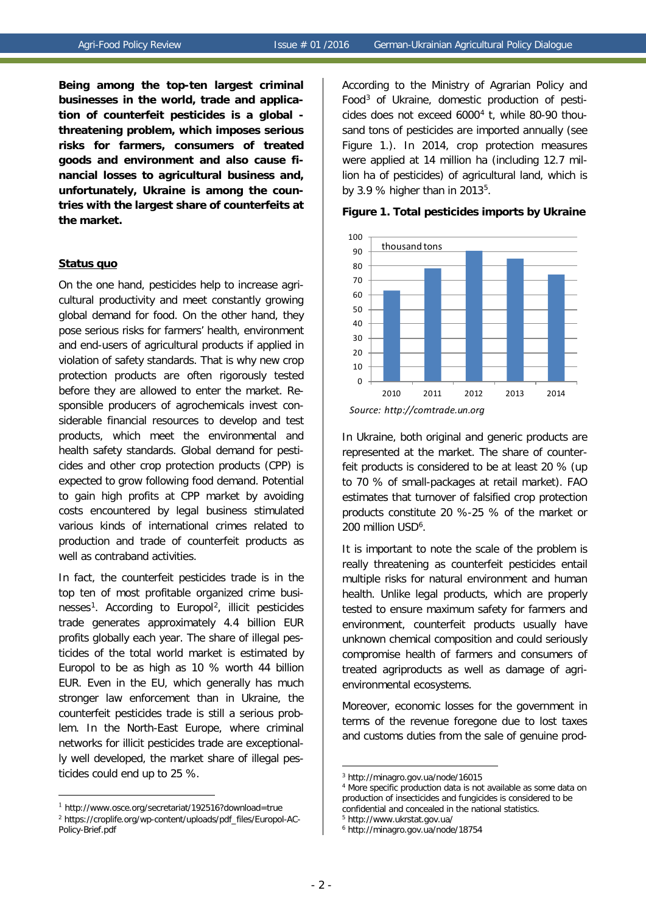**Being among the top-ten largest criminal businesses in the world, trade and application of counterfeit pesticides is a global threatening problem, which imposes serious risks for farmers, consumers of treated goods and environment and also cause financial losses to agricultural business and, unfortunately, Ukraine is among the countries with the largest share of counterfeits at the market.**

#### **Status quo**

On the one hand, pesticides help to increase agricultural productivity and meet constantly growing global demand for food. On the other hand, they pose serious risks for farmers' health, environment and end-users of agricultural products if applied in violation of safety standards. That is why new crop protection products are often rigorously tested before they are allowed to enter the market. Responsible producers of agrochemicals invest considerable financial resources to develop and test products, which meet the environmental and health safety standards. Global demand for pesticides and other crop protection products (CPP) is expected to grow following food demand. Potential to gain high profits at CPP market by avoiding costs encountered by legal business stimulated various kinds of international crimes related to production and trade of counterfeit products as well as contraband activities.

In fact, the counterfeit pesticides trade is in the top ten of most profitable organized crime businesses<sup>1</sup>. According to Europol<sup>2</sup>, illicit pesticides trade generates approximately 4.4 billion EUR profits globally each year. The share of illegal pesticides of the total world market is estimated by Europol to be as high as 10 % worth 44 billion EUR. Even in the EU, which generally has much stronger law enforcement than in Ukraine, the counterfeit pesticides trade is still a serious problem. In the North-East Europe, where criminal networks for illicit pesticides trade are exceptionally well developed, the market share of illegal pesticides could end up to 25 %.

<span id="page-1-3"></span><span id="page-1-2"></span><u>.</u>

According to the Ministry of Agrarian Policy and Food[3](#page-1-2) of Ukraine, domestic production of pesticides does not exceed  $6000<sup>4</sup>$  $6000<sup>4</sup>$  $6000<sup>4</sup>$  t, while 80-90 thousand tons of pesticides are imported annually (see Figure 1.). In 2014, crop protection measures were applied at 14 million ha (including 12.7 million ha of pesticides) of agricultural land, which is by 3.9 % higher than in 2013 $5$ .



### **Figure 1. Total pesticides imports by Ukraine**

In Ukraine, both original and generic products are represented at the market. The share of counterfeit products is considered to be at least 20 % (up to 70 % of small-packages at retail market). FAO estimates that turnover of falsified crop protection products constitute 20 %-25 % of the market or 200 million USD<sup>[6](#page-1-4)</sup>.

It is important to note the scale of the problem is really threatening as counterfeit pesticides entail multiple risks for natural environment and human health. Unlike legal products, which are properly tested to ensure maximum safety for farmers and environment, counterfeit products usually have unknown chemical composition and could seriously compromise health of farmers and consumers of treated agriproducts as well as damage of agrienvironmental ecosystems.

Moreover, economic losses for the government in terms of the revenue foregone due to lost taxes and customs duties from the sale of genuine prod-

<u>.</u>

<span id="page-1-4"></span><span id="page-1-1"></span><span id="page-1-0"></span><sup>1</sup> http://www.osce.org/secretariat/192516?download=true <sup>2</sup> https://croplife.org/wp-content/uploads/pdf\_files/Europol-AC-Policy-Brief.pdf

*Source: http://comtrade.un.org*

<sup>3</sup> http://minagro.gov.ua/node/16015

<sup>4</sup> More specific production data is not available as some data on production of insecticides and fungicides is considered to be confidential and concealed in the national statistics.

<sup>5</sup> http://www.ukrstat.gov.ua/

<sup>6</sup> http://minagro.gov.ua/node/18754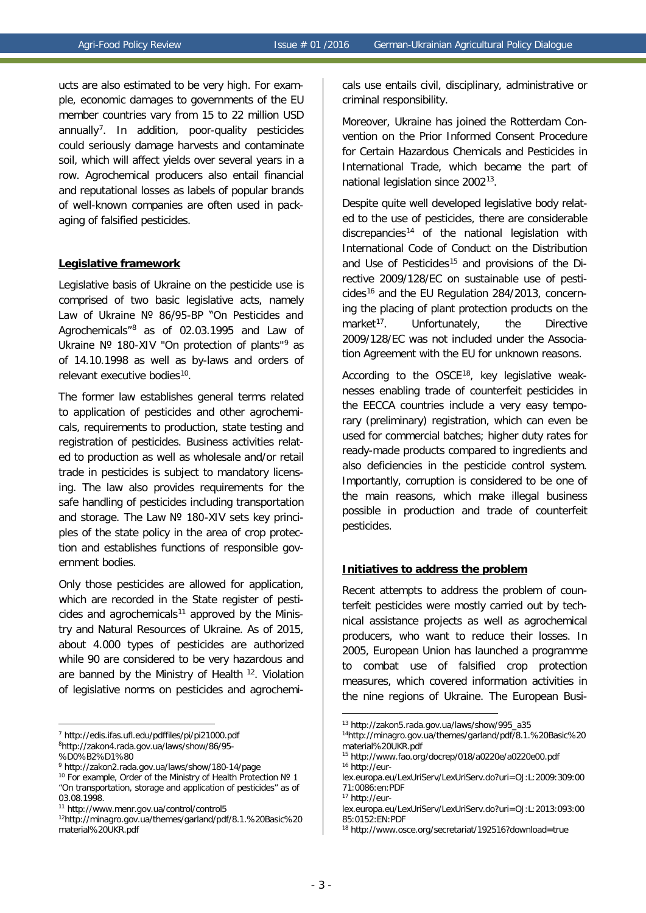ucts are also estimated to be very high. For example, economic damages to governments of the EU member countries vary from 15 to 22 million USD annually<sup>7</sup>. In addition, poor-quality pesticides could seriously damage harvests and contaminate soil, which will affect yields over several years in a row. Agrochemical producers also entail financial and reputational losses as labels of popular brands of well-known companies are often used in packaging of falsified pesticides.

## **Legislative framework**

Legislative basis of Ukraine on the pesticide use is comprised of two basic legislative acts, namely Law of Ukraine № 86/95-ВР "On Pesticides and Agrochemicals"[8](#page-2-1) as of 02.03.1995 and Law of Ukraine № 180-XIV "On protection of plants"<sup>[9](#page-2-2)</sup> as of 14.10.1998 as well as by-laws and orders of relevant executive bodies<sup>[10](#page-2-3)</sup>.

The former law establishes general terms related to application of pesticides and other agrochemicals, requirements to production, state testing and registration of pesticides. Business activities related to production as well as wholesale and/or retail trade in pesticides is subject to mandatory licensing. The law also provides requirements for the safe handling of pesticides including transportation and storage. The Law Nº 180-XIV sets key principles of the state policy in the area of crop protection and establishes functions of responsible government bodies.

Only those pesticides are allowed for application, which are recorded in the State register of pesti-cides and agrochemicals<sup>[11](#page-2-4)</sup> approved by the Ministry and Natural Resources of Ukraine. As of 2015, about 4.000 types of pesticides are authorized while 90 are considered to be very hazardous and are banned by the Ministry of Health <sup>[12](#page-2-5)</sup>. Violation of legislative norms on pesticides and agrochemi-

<span id="page-2-7"></span><span id="page-2-0"></span><sup>7</sup> http://edis.ifas.ufl.edu/pdffiles/pi/pi21000.pdf

<span id="page-2-6"></span><u>.</u>

cals use entails civil, disciplinary, administrative or criminal responsibility.

Moreover, Ukraine has joined the Rotterdam Convention on the Prior Informed Consent Procedure for Certain Hazardous Chemicals and Pesticides in International Trade, which became the part of national legislation since 2002[13](#page-2-6).

Despite quite well developed legislative body related to the use of pesticides, there are considerable discrepancies<sup>[14](#page-2-7)</sup> of the national legislation with International Code of Conduct on the Distribution and Use of Pesticides<sup>[15](#page-2-8)</sup> and provisions of the Directive 2009/128/EC on sustainable use of pesti-cides<sup>[16](#page-2-2)</sup> and the EU Regulation 284/2013, concerning the placing of plant protection products on the market<sup>17</sup>. Unfortunately, the Directive 2009/128/EC was not included under the Association Agreement with the EU for unknown reasons.

According to the OSCE[18](#page-2-10), key legislative weaknesses enabling trade of counterfeit pesticides in the EECCA countries include a very easy temporary (preliminary) registration, which can even be used for commercial batches; higher duty rates for ready-made products compared to ingredients and also deficiencies in the pesticide control system. Importantly, corruption is considered to be one of the main reasons, which make illegal business possible in production and trade of counterfeit pesticides.

## **Initiatives to address the problem**

Recent attempts to address the problem of counterfeit pesticides were mostly carried out by technical assistance projects as well as agrochemical producers, who want to reduce their losses. In 2005, European Union has launched a programme to combat use of falsified crop protection measures, which covered information activities in the nine regions of Ukraine. The European Busi-

<span id="page-2-1"></span><sup>8</sup> http://zakon4.rada.gov.ua/laws/show/86/95-

<span id="page-2-8"></span><sup>%</sup>D0%B2%D1%80

<sup>9</sup> http://zakon2.rada.gov.ua/laws/show/180-14/page

<span id="page-2-3"></span><span id="page-2-2"></span><sup>10</sup> For example, Order of the Ministry of Health Protection № 1 "On transportation, storage and application of pesticides" as of 03.08.1998.

<span id="page-2-9"></span><span id="page-2-4"></span><sup>11</sup> http://www.menr.gov.ua/control/control5

<span id="page-2-10"></span><span id="page-2-5"></span><sup>12</sup>http://minagro.gov.ua/themes/garland/pdf/8.1.%20Basic%20 material%20UKR.pdf

<sup>13</sup> http://zakon5.rada.gov.ua/laws/show/995\_a35

<sup>14</sup>http://minagro.gov.ua/themes/garland/pdf/8.1.%20Basic%20 material%20UKR.pdf

<sup>15</sup> http://www.fao.org/docrep/018/a0220e/a0220e00.pdf <sup>16</sup> [http://eur-](http://eur/)

lex.europa.eu/LexUriServ/LexUriServ.do?uri=OJ:L:2009:309:00 71:0086:en:PDF

<sup>17</sup> http://eur-

lex.europa.eu/LexUriServ/LexUriServ.do?uri=OJ:L:2013:093:00 85:0152:EN:PDF

<sup>18</sup> http://www.osce.org/secretariat/192516?download=true